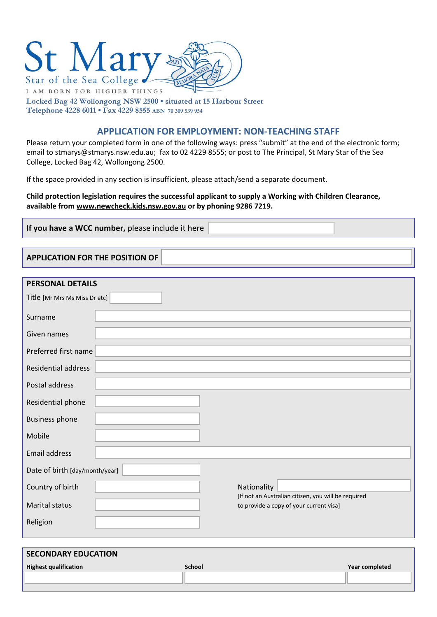

**Locked Bag 42 Wollongong NSW 2500 • situated at 15 Harbour Street Telephone 4228 6011 • Fax 4229 8555 ABN 70 309 539 954**

# **APPLICATION FOR EMPLOYMENT: NON‐TEACHING STAFF**

Please return your completed form in one of the following ways: press "submit" at the end of the electronic form; email to stmarys@stmarys.nsw.edu.au; fax to 02 4229 8555; or post to The Principal, St Mary Star of the Sea College, Locked Bag 42, Wollongong 2500.

If the space provided in any section is insufficient, please attach/send a separate document.

### **Child protection legislation requires the successful applicant to supply a Working with Children Clearance, available from www.newcheck.kids.nsw.gov.au or by phoning 9286 7219.**

**If you have a WCC number,** please include it here

**APPLICATION FOR THE POSITION OF** 

| PERSONAL DETAILS               |                                                                                                |  |  |  |
|--------------------------------|------------------------------------------------------------------------------------------------|--|--|--|
| Title [Mr Mrs Ms Miss Dr etc]  |                                                                                                |  |  |  |
| Surname                        |                                                                                                |  |  |  |
| Given names                    |                                                                                                |  |  |  |
| Preferred first name           |                                                                                                |  |  |  |
| <b>Residential address</b>     |                                                                                                |  |  |  |
| Postal address                 |                                                                                                |  |  |  |
| Residential phone              |                                                                                                |  |  |  |
| <b>Business phone</b>          |                                                                                                |  |  |  |
| Mobile                         |                                                                                                |  |  |  |
| Email address                  |                                                                                                |  |  |  |
| Date of birth [day/month/year] |                                                                                                |  |  |  |
| Country of birth               | Nationality                                                                                    |  |  |  |
| <b>Marital status</b>          | [If not an Australian citizen, you will be required<br>to provide a copy of your current visa] |  |  |  |
| Religion                       |                                                                                                |  |  |  |
|                                |                                                                                                |  |  |  |

| <b>SECONDARY EDUCATION</b>   |               |                |  |  |
|------------------------------|---------------|----------------|--|--|
| <b>Highest qualification</b> | <b>School</b> | Year completed |  |  |
|                              |               |                |  |  |
|                              |               |                |  |  |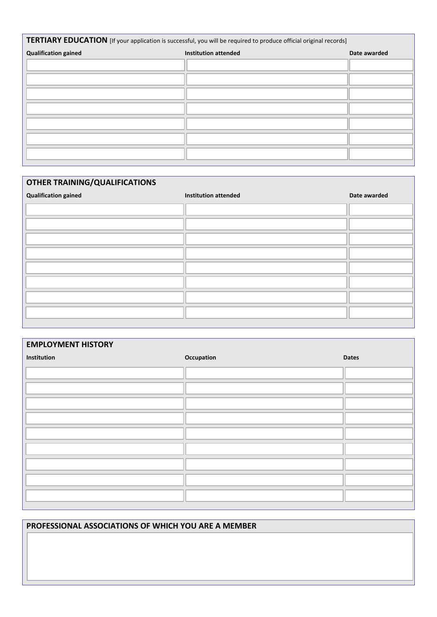| TERTIARY EDUCATION [If your application is successful, you will be required to produce official original records] |                             |              |  |  |
|-------------------------------------------------------------------------------------------------------------------|-----------------------------|--------------|--|--|
| <b>Qualification gained</b>                                                                                       | <b>Institution attended</b> | Date awarded |  |  |
|                                                                                                                   |                             |              |  |  |
|                                                                                                                   |                             |              |  |  |
|                                                                                                                   |                             |              |  |  |
|                                                                                                                   |                             |              |  |  |
|                                                                                                                   |                             |              |  |  |
|                                                                                                                   |                             |              |  |  |
|                                                                                                                   |                             |              |  |  |

# **OTHER TRAINING/QUALIFICATIONS Qualification gained Institution attended Date awarded**

| <b>EMPLOYMENT HISTORY</b> |            |              |  |
|---------------------------|------------|--------------|--|
| Institution               | Occupation | <b>Dates</b> |  |
|                           |            |              |  |
|                           |            |              |  |
|                           |            |              |  |
|                           |            |              |  |
|                           |            |              |  |
|                           |            |              |  |
|                           |            |              |  |
|                           |            |              |  |
|                           |            |              |  |
|                           |            |              |  |

# **PROFESSIONAL ASSOCIATIONS OF WHICH YOU ARE A MEMBER**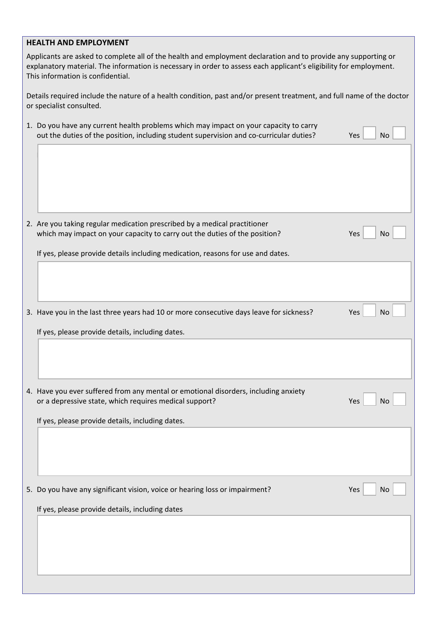# **HEALTH AND EMPLOYMENT**

Applicants are asked to complete all of the health and employment declaration and to provide any supporting or explanatory material. The information is necessary in order to assess each applicant's eligibility for employment. This information is confidential.

Details required include the nature of a health condition, past and/or present treatment, and full name of the doctor or specialist consulted.

| 1. Do you have any current health problems which may impact on your capacity to carry<br>out the duties of the position, including student supervision and co-curricular duties? | Yes<br><b>No</b> |
|----------------------------------------------------------------------------------------------------------------------------------------------------------------------------------|------------------|
|                                                                                                                                                                                  |                  |
|                                                                                                                                                                                  |                  |
| 2. Are you taking regular medication prescribed by a medical practitioner<br>which may impact on your capacity to carry out the duties of the position?                          | Yes<br>No        |
| If yes, please provide details including medication, reasons for use and dates.                                                                                                  |                  |
|                                                                                                                                                                                  |                  |
| 3. Have you in the last three years had 10 or more consecutive days leave for sickness?                                                                                          | Yes<br><b>No</b> |
| If yes, please provide details, including dates.                                                                                                                                 |                  |
|                                                                                                                                                                                  |                  |
|                                                                                                                                                                                  |                  |
| 4. Have you ever suffered from any mental or emotional disorders, including anxiety<br>or a depressive state, which requires medical support?                                    | Yes<br><b>No</b> |
| If yes, please provide details, including dates.                                                                                                                                 |                  |
|                                                                                                                                                                                  |                  |
|                                                                                                                                                                                  |                  |
| 5. Do you have any significant vision, voice or hearing loss or impairment?                                                                                                      | Yes<br><b>No</b> |
| If yes, please provide details, including dates                                                                                                                                  |                  |
|                                                                                                                                                                                  |                  |
|                                                                                                                                                                                  |                  |
|                                                                                                                                                                                  |                  |
|                                                                                                                                                                                  |                  |